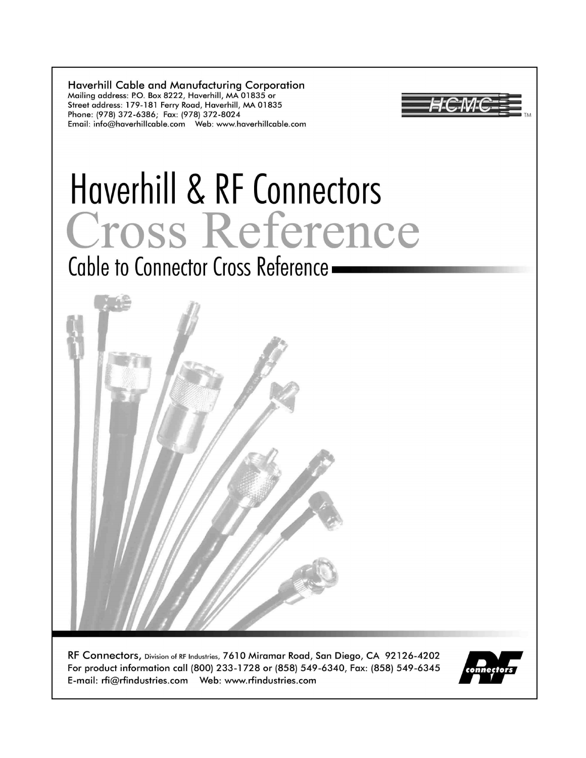**Haverhill Cable and Manufacturing Corporation** Mailing address: P.O. Box 8222, Haverhill, MA 01835 or Street address: 179-181 Ferry Road, Haverhill, MA 01835 Phone: (978) 372-6386; Fax: (978) 372-8024 





RF Connectors, Division of RF Industries, 7610 Miramar Road, San Diego, CA 92126-4202 For product information call (800) 233-1728 or (858) 549-6340, Fax: (858) 549-6345 

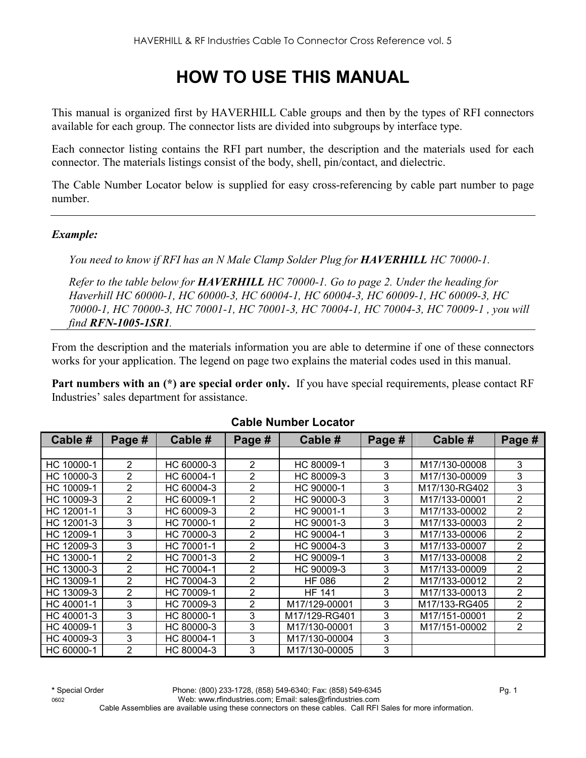# **HOW TO USE THIS MANUAL**

This manual is organized first by HAVERHILL Cable groups and then by the types of RFI connectors available for each group. The connector lists are divided into subgroups by interface type.

Each connector listing contains the RFI part number, the description and the materials used for each connector. The materials listings consist of the body, shell, pin/contact, and dielectric.

The Cable Number Locator below is supplied for easy cross-referencing by cable part number to page number.

#### *Example:*

*You need to know if RFI has an N Male Clamp Solder Plug for HAVERHILL HC 70000-1.* 

*Refer to the table below for HAVERHILL HC 70000-1. Go to page 2. Under the heading for Haverhill HC 60000-1, HC 60000-3, HC 60004-1, HC 60004-3, HC 60009-1, HC 60009-3, HC 70000-1, HC 70000-3, HC 70001-1, HC 70001-3, HC 70004-1, HC 70004-3, HC 70009-1 , you will find RFN-1005-1SR1.* 

From the description and the materials information you are able to determine if one of these connectors works for your application. The legend on page two explains the material codes used in this manual.

Part numbers with an (\*) are special order only. If you have special requirements, please contact RF Industries' sales department for assistance.

| Cable #    | Page #         | Cable #    | Page #         | Cable #       | Page # | Cable #       | Page #         |
|------------|----------------|------------|----------------|---------------|--------|---------------|----------------|
|            |                |            |                |               |        |               |                |
| HC 10000-1 | $\overline{2}$ | HC 60000-3 | 2              | HC 80009-1    | 3      | M17/130-00008 | 3              |
| HC 10000-3 | 2              | HC 60004-1 | $\overline{2}$ | HC 80009-3    | 3      | M17/130-00009 | 3              |
| HC 10009-1 | 2              | HC 60004-3 | $\overline{2}$ | HC 90000-1    | 3      | M17/130-RG402 | 3              |
| HC 10009-3 | $\overline{2}$ | HC 60009-1 | $\overline{2}$ | HC 90000-3    | 3      | M17/133-00001 | 2              |
| HC 12001-1 | 3              | HC 60009-3 | $\overline{2}$ | HC 90001-1    | 3      | M17/133-00002 | 2              |
| HC 12001-3 | 3              | HC 70000-1 | 2              | HC 90001-3    | 3      | M17/133-00003 | 2              |
| HC 12009-1 | 3              | HC 70000-3 | 2              | HC 90004-1    | 3      | M17/133-00006 | $\overline{2}$ |
| HC 12009-3 | 3              | HC 70001-1 | $\overline{2}$ | HC 90004-3    | 3      | M17/133-00007 | $\overline{2}$ |
| HC 13000-1 | $\overline{2}$ | HC 70001-3 | $\overline{2}$ | HC 90009-1    | 3      | M17/133-00008 | $\overline{2}$ |
| HC 13000-3 | 2              | HC 70004-1 | $\overline{2}$ | HC 90009-3    | 3      | M17/133-00009 | $\overline{2}$ |
| HC 13009-1 | 2              | HC 70004-3 | $\overline{2}$ | HF 086        | 2      | M17/133-00012 | 2              |
| HC 13009-3 | 2              | HC 70009-1 | $\overline{2}$ | <b>HF 141</b> | 3      | M17/133-00013 | $\overline{2}$ |
| HC 40001-1 | 3              | HC 70009-3 | $\overline{2}$ | M17/129-00001 | 3      | M17/133-RG405 | $\overline{2}$ |
| HC 40001-3 | 3              | HC 80000-1 | 3              | M17/129-RG401 | 3      | M17/151-00001 | $\overline{2}$ |
| HC 40009-1 | 3              | HC 80000-3 | 3              | M17/130-00001 | 3      | M17/151-00002 | $\overline{2}$ |
| HC 40009-3 | 3              | HC 80004-1 | 3              | M17/130-00004 | 3      |               |                |
| HC 60000-1 | 2              | HC 80004-3 | 3              | M17/130-00005 | 3      |               |                |

#### **Cable Number Locator**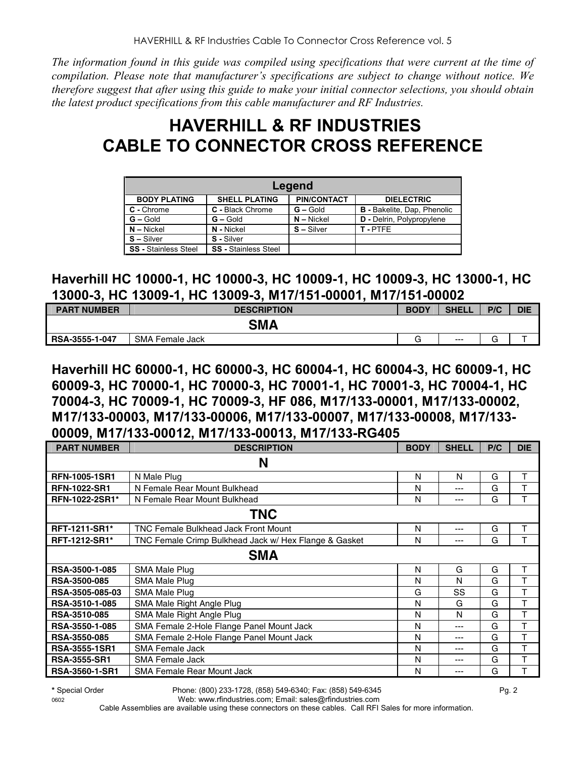*The information found in this guide was compiled using specifications that were current at the time of compilation. Please note that manufacturer's specifications are subject to change without notice. We therefore suggest that after using this guide to make your initial connector selections, you should obtain the latest product specifications from this cable manufacturer and RF Industries.*

## **HAVERHILL & RF INDUSTRIES CABLE TO CONNECTOR CROSS REFERENCE**

| Legend                                                                                 |                             |              |                                    |  |  |  |
|----------------------------------------------------------------------------------------|-----------------------------|--------------|------------------------------------|--|--|--|
| <b>PIN/CONTACT</b><br><b>BODY PLATING</b><br><b>SHELL PLATING</b><br><b>DIELECTRIC</b> |                             |              |                                    |  |  |  |
| C - Chrome                                                                             | C - Black Chrome            | $G -$ Gold   | <b>B</b> - Bakelite, Dap, Phenolic |  |  |  |
| $G - Gold$                                                                             | $G - Gold$                  | $N -$ Nickel | D - Delrin, Polypropylene          |  |  |  |
| $N - Nickel$                                                                           | N - Nickel                  | $S -$ Silver | T-PTFF                             |  |  |  |
| $S - S$ ilver                                                                          | S - Silver                  |              |                                    |  |  |  |
| <b>SS</b> - Stainless Steel                                                            | <b>SS</b> - Stainless Steel |              |                                    |  |  |  |

### **Haverhill HC 10000-1, HC 10000-3, HC 10009-1, HC 10009-3, HC 13000-1, HC 13000-3, HC 13009-1, HC 13009-3, M17/151-00001, M17/151-00002**

| <b>PART NUMBER</b> | <b>DESCRIPTION</b> | <b>BODY</b> | <b>SHELL</b> | P/C | <b>DIE</b> |
|--------------------|--------------------|-------------|--------------|-----|------------|
|                    | <b>SMA</b>         |             |              |     |            |
| RSA-3555-1-047     | SMA Female Jack    | G           | $---$        |     |            |

**Haverhill HC 60000-1, HC 60000-3, HC 60004-1, HC 60004-3, HC 60009-1, HC 60009-3, HC 70000-1, HC 70000-3, HC 70001-1, HC 70001-3, HC 70004-1, HC 70004-3, HC 70009-1, HC 70009-3, HF 086, M17/133-00001, M17/133-00002, M17/133-00003, M17/133-00006, M17/133-00007, M17/133-00008, M17/133- 00009, M17/133-00012, M17/133-00013, M17/133-RG405** 

| <b>PART NUMBER</b>    | <b>DESCRIPTION</b>                                    | <b>BODY</b> | <b>SHELL</b> | P/C | <b>DIE</b> |  |  |  |
|-----------------------|-------------------------------------------------------|-------------|--------------|-----|------------|--|--|--|
| N                     |                                                       |             |              |     |            |  |  |  |
| <b>RFN-1005-1SR1</b>  | N Male Plug                                           | N           | N            | G   | т          |  |  |  |
| <b>RFN-1022-SR1</b>   | N Female Rear Mount Bulkhead                          | N           | ---          | G   | т          |  |  |  |
| RFN-1022-2SR1*        | N Female Rear Mount Bulkhead                          | N           | ---          | G   | т          |  |  |  |
|                       | <b>TNC</b>                                            |             |              |     |            |  |  |  |
| <b>RFT-1211-SR1*</b>  | <b>TNC Female Bulkhead Jack Front Mount</b>           | N           | ---          | G   | Τ          |  |  |  |
| <b>RFT-1212-SR1*</b>  | TNC Female Crimp Bulkhead Jack w/ Hex Flange & Gasket | N           | ---          | G   | Т          |  |  |  |
| <b>SMA</b>            |                                                       |             |              |     |            |  |  |  |
| RSA-3500-1-085        | SMA Male Plug                                         | N           | G            | G   | т          |  |  |  |
| <b>RSA-3500-085</b>   | <b>SMA Male Plug</b>                                  | N           | N            | G   | Т          |  |  |  |
| RSA-3505-085-03       | SMA Male Plug                                         | G           | SS           | G   | т          |  |  |  |
| RSA-3510-1-085        | SMA Male Right Angle Plug                             | N           | G            | G   | T          |  |  |  |
| RSA-3510-085          | SMA Male Right Angle Plug                             | N           | N            | G   | Τ          |  |  |  |
| RSA-3550-1-085        | SMA Female 2-Hole Flange Panel Mount Jack             | N           | ---          | G   | т          |  |  |  |
| RSA-3550-085          | SMA Female 2-Hole Flange Panel Mount Jack             | N           | ---          | G   | т          |  |  |  |
| <b>RSA-3555-1SR1</b>  | <b>SMA Female Jack</b>                                | Ν           | ---          | G   | т          |  |  |  |
| <b>RSA-3555-SR1</b>   | <b>SMA Female Jack</b>                                | Ν           | ---          | G   | T          |  |  |  |
| <b>RSA-3560-1-SR1</b> | <b>SMA Female Rear Mount Jack</b>                     | N           | ---          | G   | т          |  |  |  |

Cable Assemblies are available using these connectors on these cables. Call RFI Sales for more information.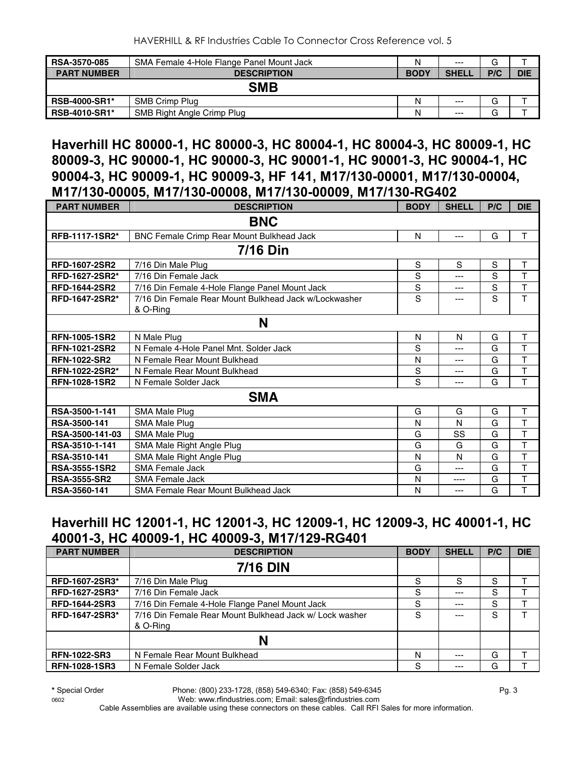HAVERHILL & RF Industries Cable To Connector Cross Reference vol. 5

| <b>RSA-3570-085</b>                      | SMA Female 4-Hole Flange Panel Mount Jack | N           | $---$        | G      |            |  |  |
|------------------------------------------|-------------------------------------------|-------------|--------------|--------|------------|--|--|
| <b>PART NUMBER</b><br><b>DESCRIPTION</b> |                                           | <b>BODY</b> | <b>SHELL</b> | P/C    | <b>DIE</b> |  |  |
| <b>SMB</b>                               |                                           |             |              |        |            |  |  |
| <b>RSB-4000-SR1*</b>                     | SMB Crimp Plug                            | N           | $---$        | G      |            |  |  |
| <b>RSB-4010-SR1*</b>                     | <b>SMB Right Angle Crimp Plug</b>         | N           | $---$        | ⌒<br>G |            |  |  |

### **Haverhill HC 80000-1, HC 80000-3, HC 80004-1, HC 80004-3, HC 80009-1, HC 80009-3, HC 90000-1, HC 90000-3, HC 90001-1, HC 90001-3, HC 90004-1, HC 90004-3, HC 90009-1, HC 90009-3, HF 141, M17/130-00001, M17/130-00004, M17/130-00005, M17/130-00008, M17/130-00009, M17/130-RG402**

| <b>PART NUMBER</b>   | <b>DESCRIPTION</b>                                                | <b>BODY</b> | <b>SHELL</b> | P/C | <b>DIE</b>   |  |  |
|----------------------|-------------------------------------------------------------------|-------------|--------------|-----|--------------|--|--|
| <b>BNC</b>           |                                                                   |             |              |     |              |  |  |
| RFB-1117-1SR2*       | BNC Female Crimp Rear Mount Bulkhead Jack                         | N           | ---          | G   | T            |  |  |
| <b>7/16 Din</b>      |                                                                   |             |              |     |              |  |  |
| <b>RFD-1607-2SR2</b> | 7/16 Din Male Plug                                                | S           | S            | S   | $\mathsf{T}$ |  |  |
| RFD-1627-2SR2*       | 7/16 Din Female Jack                                              | S           | ---          | S   | T            |  |  |
| <b>RFD-1644-2SR2</b> | 7/16 Din Female 4-Hole Flange Panel Mount Jack                    | $\mathbf S$ | ---          | S   | T            |  |  |
| RFD-1647-2SR2*       | 7/16 Din Female Rear Mount Bulkhead Jack w/Lockwasher<br>& O-Ring | S           | ---          | S   | T            |  |  |
| N                    |                                                                   |             |              |     |              |  |  |
| <b>RFN-1005-1SR2</b> | N Male Plug                                                       | N           | N            | G   | T            |  |  |
| <b>RFN-1021-2SR2</b> | N Female 4-Hole Panel Mnt. Solder Jack                            | S           | ---          | G   | T            |  |  |
| <b>RFN-1022-SR2</b>  | N Female Rear Mount Bulkhead                                      | N           | ---          | G   | T            |  |  |
| RFN-1022-2SR2*       | N Female Rear Mount Bulkhead                                      | S           | ---          | G   | T            |  |  |
| <b>RFN-1028-1SR2</b> | N Female Solder Jack                                              | S           | ---          | G   | T            |  |  |
| <b>SMA</b>           |                                                                   |             |              |     |              |  |  |
| RSA-3500-1-141       | SMA Male Plug                                                     | G           | G            | G   | T            |  |  |
| RSA-3500-141         | SMA Male Plug                                                     | N           | N            | G   | T            |  |  |
| RSA-3500-141-03      | <b>SMA Male Plug</b>                                              | G           | SS           | G   | T            |  |  |
| RSA-3510-1-141       | SMA Male Right Angle Plug                                         | G           | G            | G   | T            |  |  |
| RSA-3510-141         | SMA Male Right Angle Plug                                         | N           | N            | G   | T            |  |  |
| <b>RSA-3555-1SR2</b> | <b>SMA Female Jack</b>                                            | G           | ---          | G   | T            |  |  |
| <b>RSA-3555-SR2</b>  | <b>SMA Female Jack</b>                                            | N           | ----         | G   | T            |  |  |
| RSA-3560-141         | SMA Female Rear Mount Bulkhead Jack                               | N           | ---          | G   | T            |  |  |

## **Haverhill HC 12001-1, HC 12001-3, HC 12009-1, HC 12009-3, HC 40001-1, HC 40001-3, HC 40009-1, HC 40009-3, M17/129-RG401**

| <b>PART NUMBER</b>   | <b>DESCRIPTION</b>                                                  | <b>BODY</b> | <b>SHELL</b> | P/C | <b>DIE</b> |
|----------------------|---------------------------------------------------------------------|-------------|--------------|-----|------------|
|                      | <b>7/16 DIN</b>                                                     |             |              |     |            |
| RFD-1607-2SR3*       | 7/16 Din Male Plug                                                  | S           | S            | S   |            |
| RFD-1627-2SR3*       | 7/16 Din Female Jack                                                | S           | ---          | S   |            |
| <b>RFD-1644-2SR3</b> | 7/16 Din Female 4-Hole Flange Panel Mount Jack                      | S           | $---$        | S   |            |
| RFD-1647-2SR3*       | 7/16 Din Female Rear Mount Bulkhead Jack w/ Lock washer<br>& O-Ring | S           |              | S   |            |
|                      | N                                                                   |             |              |     |            |
| <b>RFN-1022-SR3</b>  | N Female Rear Mount Bulkhead                                        | N           | $- - -$      | G   |            |
| <b>RFN-1028-1SR3</b> | N Female Solder Jack                                                | S           | ---          | G   |            |